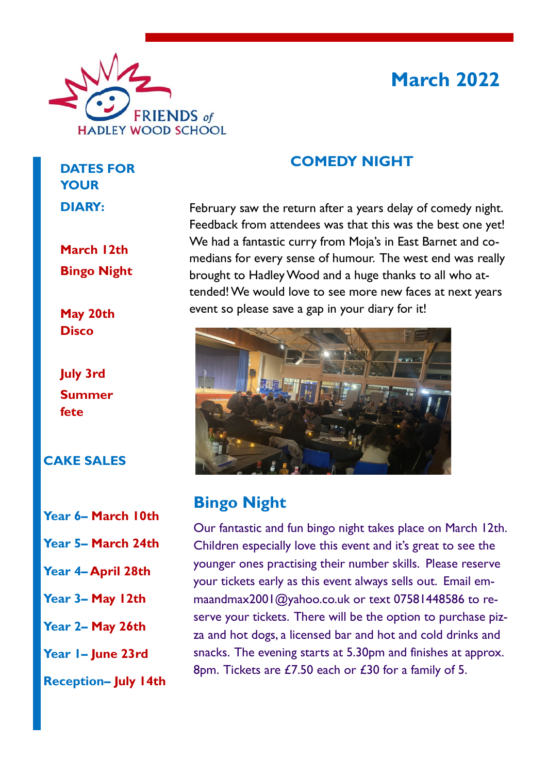

# **March 2022**

### **COMEDY NIGHT**

February saw the return after a years delay of comedy night. Feedback from attendees was that this was the best one yet! We had a fantastic curry from Moja's in East Barnet and comedians for every sense of humour. The west end was really brought to Hadley Wood and a huge thanks to all who attended! We would love to see more new faces at next years event so please save a gap in your diary for it!



### **Bingo Night**

Our fantastic and fun bingo night takes place on March 12th. Children especially love this event and it's great to see the younger ones practising their number skills. Please reserve your tickets early as this event always sells out. Email emmaandmax2001@yahoo.co.uk or text 07581448586 to reserve your tickets. There will be the option to purchase pizza and hot dogs, a licensed bar and hot and cold drinks and snacks. The evening starts at 5.30pm and finishes at approx. 8pm. Tickets are £7.50 each or £30 for a family of 5.

**DATES FOR YOUR DIARY:**

**March 12th Bingo Night**

**May 20th Disco**

**July 3rd Summer fete**

#### **CAKE SALES**

- **Year 6– March 10th**
- **Year 5– March 24th**
- **Year 4– April 28th**
- **Year 3– May 12th**
- **Year 2– May 26th**
- **Year 1– June 23rd**
- **Reception– July 14th**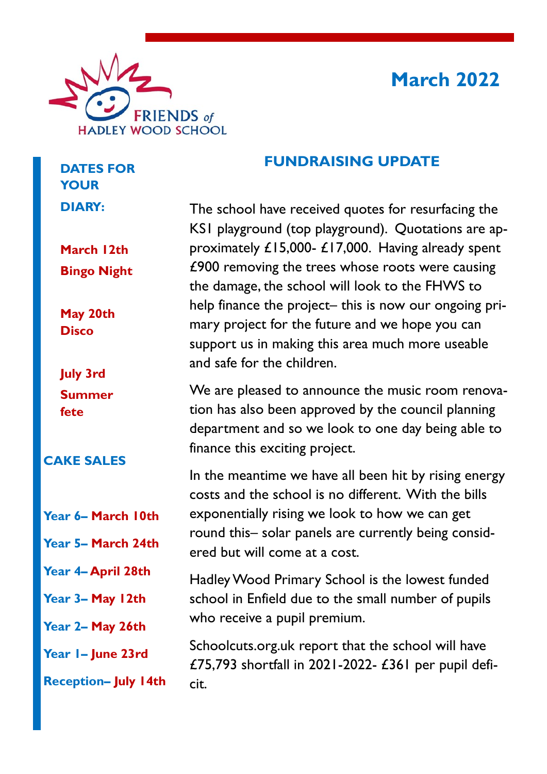

# **March 2022**

### **FUNDRAISING UPDATE**

The school have received quotes for resurfacing the KS1 playground (top playground). Quotations are approximately £15,000- £17,000. Having already spent £900 removing the trees whose roots were causing the damage, the school will look to the FHWS to help finance the project– this is now our ongoing primary project for the future and we hope you can support us in making this area much more useable and safe for the children.

We are pleased to announce the music room renovation has also been approved by the council planning department and so we look to one day being able to finance this exciting project.

In the meantime we have all been hit by rising energy costs and the school is no different. With the bills exponentially rising we look to how we can get round this– solar panels are currently being considered but will come at a cost.

Hadley Wood Primary School is the lowest funded school in Enfield due to the small number of pupils who receive a pupil premium.

Schoolcuts.org.uk report that the school will have £75,793 shortfall in 2021-2022- £361 per pupil deficit.

**March 12th Bingo Night**

**DATES FOR** 

**YOUR** 

**DIARY:**

**May 20th Disco**

**July 3rd Summer fete**

### **CAKE SALES**

- **Year 6– March 10th**
- **Year 5– March 24th**
- **Year 4– April 28th**
- **Year 3– May 12th**
- **Year 2– May 26th**

**Year 1– June 23rd**

**Reception– July 14th**